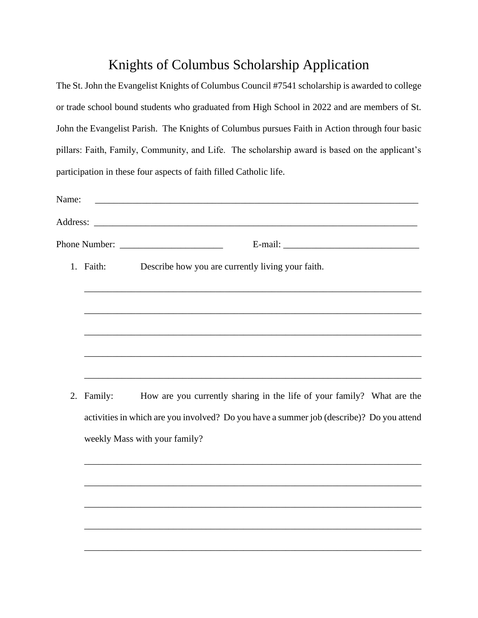## Knights of Columbus Scholarship Application

|       |                                                                                          | The St. John the Evangelist Knights of Columbus Council #7541 scholarship is awarded to college |  |
|-------|------------------------------------------------------------------------------------------|-------------------------------------------------------------------------------------------------|--|
|       |                                                                                          | or trade school bound students who graduated from High School in 2022 and are members of St.    |  |
|       |                                                                                          | John the Evangelist Parish. The Knights of Columbus pursues Faith in Action through four basic  |  |
|       |                                                                                          | pillars: Faith, Family, Community, and Life. The scholarship award is based on the applicant's  |  |
|       |                                                                                          | participation in these four aspects of faith filled Catholic life.                              |  |
| Name: |                                                                                          |                                                                                                 |  |
|       |                                                                                          |                                                                                                 |  |
|       |                                                                                          |                                                                                                 |  |
|       | 1. Faith:                                                                                | Describe how you are currently living your faith.                                               |  |
|       |                                                                                          |                                                                                                 |  |
|       |                                                                                          |                                                                                                 |  |
|       |                                                                                          |                                                                                                 |  |
|       |                                                                                          |                                                                                                 |  |
|       |                                                                                          |                                                                                                 |  |
| 2.    | Family:                                                                                  | How are you currently sharing in the life of your family? What are the                          |  |
|       | activities in which are you involved? Do you have a summer job (describe)? Do you attend |                                                                                                 |  |
|       | weekly Mass with your family?                                                            |                                                                                                 |  |
|       |                                                                                          |                                                                                                 |  |
|       |                                                                                          |                                                                                                 |  |
|       |                                                                                          |                                                                                                 |  |

\_\_\_\_\_\_\_\_\_\_\_\_\_\_\_\_\_\_\_\_\_\_\_\_\_\_\_\_\_\_\_\_\_\_\_\_\_\_\_\_\_\_\_\_\_\_\_\_\_\_\_\_\_\_\_\_\_\_\_\_\_\_\_\_\_\_\_\_\_\_\_\_

\_\_\_\_\_\_\_\_\_\_\_\_\_\_\_\_\_\_\_\_\_\_\_\_\_\_\_\_\_\_\_\_\_\_\_\_\_\_\_\_\_\_\_\_\_\_\_\_\_\_\_\_\_\_\_\_\_\_\_\_\_\_\_\_\_\_\_\_\_\_\_\_